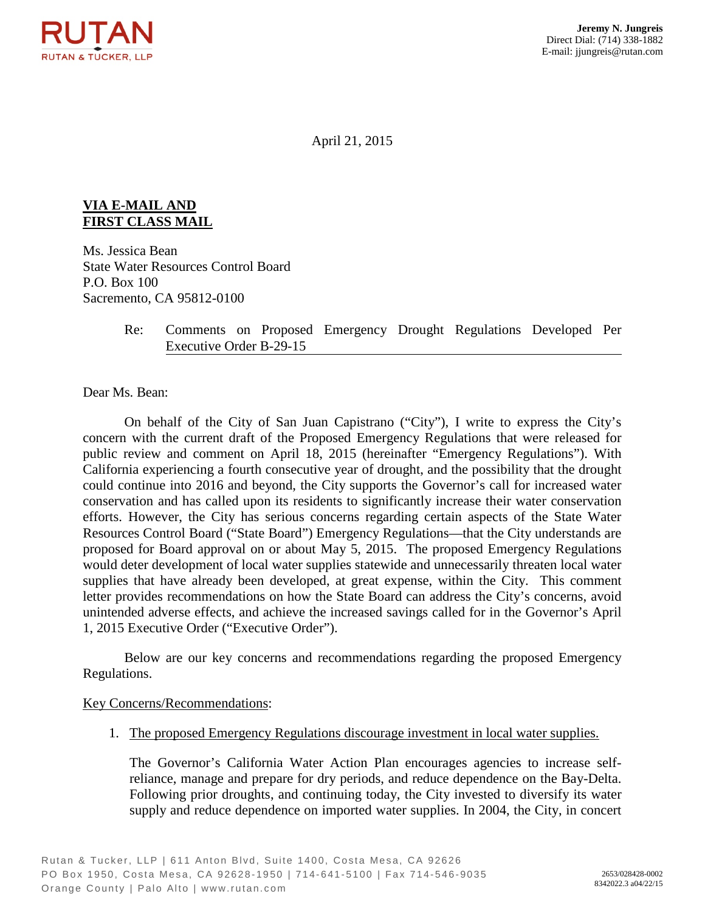

April 21, 2015

## **VIA E-MAIL AND FIRST CLASS MAIL**

Ms. Jessica Bean State Water Resources Control Board P.O. Box 100 Sacremento, CA 95812-0100

## Re: Comments on Proposed Emergency Drought Regulations Developed Per Executive Order B-29-15

Dear Ms. Bean:

On behalf of the City of San Juan Capistrano ("City"), I write to express the City's concern with the current draft of the Proposed Emergency Regulations that were released for public review and comment on April 18, 2015 (hereinafter "Emergency Regulations"). With California experiencing a fourth consecutive year of drought, and the possibility that the drought could continue into 2016 and beyond, the City supports the Governor's call for increased water conservation and has called upon its residents to significantly increase their water conservation efforts. However, the City has serious concerns regarding certain aspects of the State Water Resources Control Board ("State Board") Emergency Regulations—that the City understands are proposed for Board approval on or about May 5, 2015. The proposed Emergency Regulations would deter development of local water supplies statewide and unnecessarily threaten local water supplies that have already been developed, at great expense, within the City. This comment letter provides recommendations on how the State Board can address the City's concerns, avoid unintended adverse effects, and achieve the increased savings called for in the Governor's April 1, 2015 Executive Order ("Executive Order").

Below are our key concerns and recommendations regarding the proposed Emergency Regulations.

## Key Concerns/Recommendations:

1. The proposed Emergency Regulations discourage investment in local water supplies.

The Governor's California Water Action Plan encourages agencies to increase selfreliance, manage and prepare for dry periods, and reduce dependence on the Bay-Delta. Following prior droughts, and continuing today, the City invested to diversify its water supply and reduce dependence on imported water supplies. In 2004, the City, in concert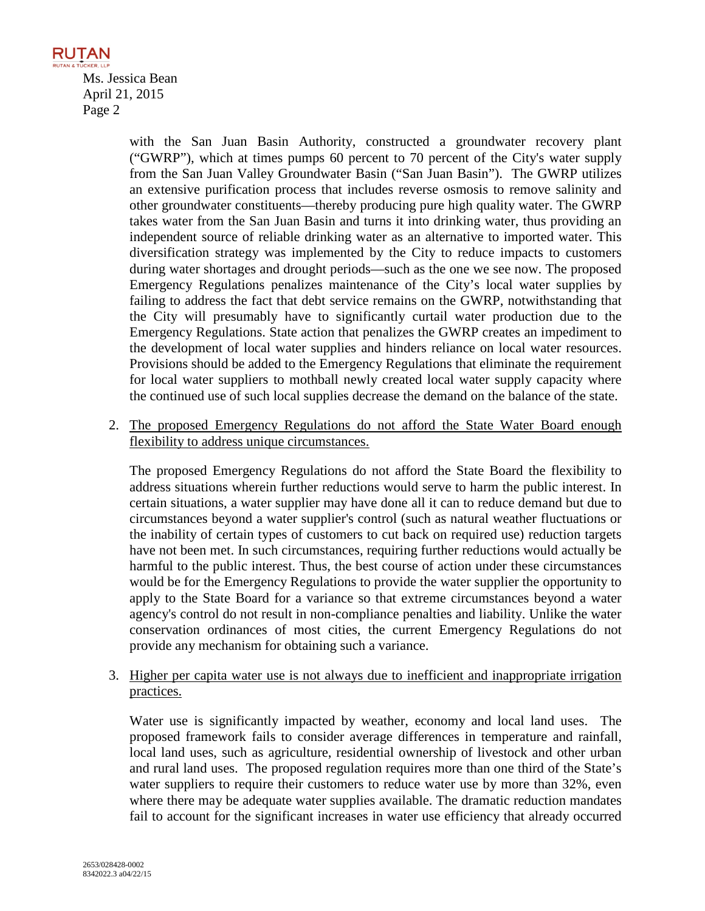**RUTAN BUTAN & TUCKER LLP** Ms. Jessica Bean April 21, 2015 Page 2

> with the San Juan Basin Authority, constructed a groundwater recovery plant ("GWRP"), which at times pumps 60 percent to 70 percent of the City's water supply from the San Juan Valley Groundwater Basin ("San Juan Basin"). The GWRP utilizes an extensive purification process that includes reverse osmosis to remove salinity and other groundwater constituents—thereby producing pure high quality water. The GWRP takes water from the San Juan Basin and turns it into drinking water, thus providing an independent source of reliable drinking water as an alternative to imported water. This diversification strategy was implemented by the City to reduce impacts to customers during water shortages and drought periods—such as the one we see now. The proposed Emergency Regulations penalizes maintenance of the City's local water supplies by failing to address the fact that debt service remains on the GWRP, notwithstanding that the City will presumably have to significantly curtail water production due to the Emergency Regulations. State action that penalizes the GWRP creates an impediment to the development of local water supplies and hinders reliance on local water resources. Provisions should be added to the Emergency Regulations that eliminate the requirement for local water suppliers to mothball newly created local water supply capacity where the continued use of such local supplies decrease the demand on the balance of the state.

2. The proposed Emergency Regulations do not afford the State Water Board enough flexibility to address unique circumstances.

The proposed Emergency Regulations do not afford the State Board the flexibility to address situations wherein further reductions would serve to harm the public interest. In certain situations, a water supplier may have done all it can to reduce demand but due to circumstances beyond a water supplier's control (such as natural weather fluctuations or the inability of certain types of customers to cut back on required use) reduction targets have not been met. In such circumstances, requiring further reductions would actually be harmful to the public interest. Thus, the best course of action under these circumstances would be for the Emergency Regulations to provide the water supplier the opportunity to apply to the State Board for a variance so that extreme circumstances beyond a water agency's control do not result in non-compliance penalties and liability. Unlike the water conservation ordinances of most cities, the current Emergency Regulations do not provide any mechanism for obtaining such a variance.

3. Higher per capita water use is not always due to inefficient and inappropriate irrigation practices.

Water use is significantly impacted by weather, economy and local land uses. The proposed framework fails to consider average differences in temperature and rainfall, local land uses, such as agriculture, residential ownership of livestock and other urban and rural land uses. The proposed regulation requires more than one third of the State's water suppliers to require their customers to reduce water use by more than 32%, even where there may be adequate water supplies available. The dramatic reduction mandates fail to account for the significant increases in water use efficiency that already occurred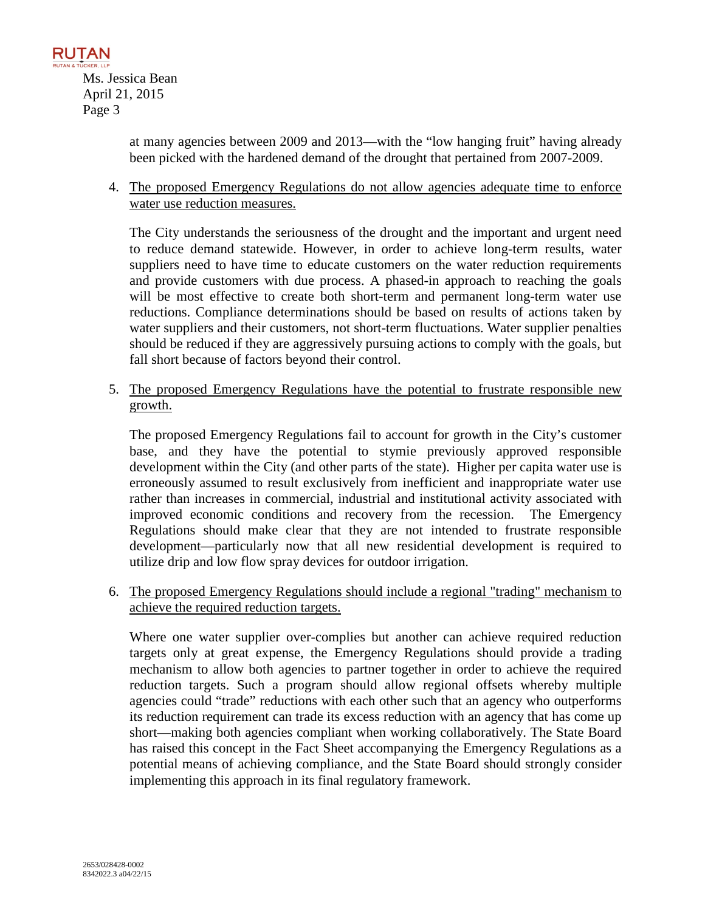

at many agencies between 2009 and 2013—with the "low hanging fruit" having already been picked with the hardened demand of the drought that pertained from 2007-2009.

4. The proposed Emergency Regulations do not allow agencies adequate time to enforce water use reduction measures.

The City understands the seriousness of the drought and the important and urgent need to reduce demand statewide. However, in order to achieve long-term results, water suppliers need to have time to educate customers on the water reduction requirements and provide customers with due process. A phased-in approach to reaching the goals will be most effective to create both short-term and permanent long-term water use reductions. Compliance determinations should be based on results of actions taken by water suppliers and their customers, not short-term fluctuations. Water supplier penalties should be reduced if they are aggressively pursuing actions to comply with the goals, but fall short because of factors beyond their control.

5. The proposed Emergency Regulations have the potential to frustrate responsible new growth.

The proposed Emergency Regulations fail to account for growth in the City's customer base, and they have the potential to stymie previously approved responsible development within the City (and other parts of the state). Higher per capita water use is erroneously assumed to result exclusively from inefficient and inappropriate water use rather than increases in commercial, industrial and institutional activity associated with improved economic conditions and recovery from the recession. The Emergency Regulations should make clear that they are not intended to frustrate responsible development—particularly now that all new residential development is required to utilize drip and low flow spray devices for outdoor irrigation.

6. The proposed Emergency Regulations should include a regional "trading" mechanism to achieve the required reduction targets.

Where one water supplier over-complies but another can achieve required reduction targets only at great expense, the Emergency Regulations should provide a trading mechanism to allow both agencies to partner together in order to achieve the required reduction targets. Such a program should allow regional offsets whereby multiple agencies could "trade" reductions with each other such that an agency who outperforms its reduction requirement can trade its excess reduction with an agency that has come up short—making both agencies compliant when working collaboratively. The State Board has raised this concept in the Fact Sheet accompanying the Emergency Regulations as a potential means of achieving compliance, and the State Board should strongly consider implementing this approach in its final regulatory framework.